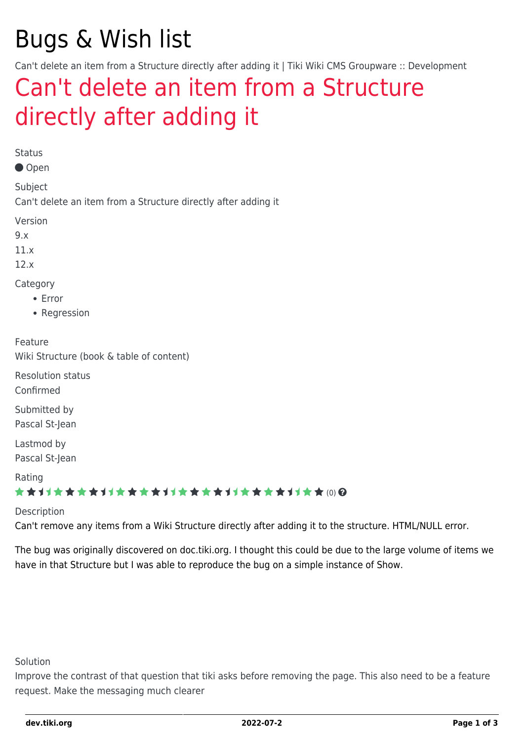# Bugs & Wish list

Can't delete an item from a Structure directly after adding it | Tiki Wiki CMS Groupware :: Development

## [Can't delete an item from a Structure](https://dev.tiki.org/item4613-Can-t-delete-an-item-from-a-Structure-directly-after-adding-it) [directly after adding it](https://dev.tiki.org/item4613-Can-t-delete-an-item-from-a-Structure-directly-after-adding-it)

Status

Open

Subject

Can't delete an item from a Structure directly after adding it

Version

9.x

11.x

12.x

Category

- Error
- Regression

Feature

Wiki Structure (book & table of content)

Resolution status Confirmed

Submitted by Pascal St-Jean

Lastmod by

Pascal St-Jean

Rating

#### \*\*\*\*\*\*\*\*\*\*\*\*\*\*\*\*\*\*\*\*\*\*\*\*\*\*\*\*\*\*

#### Description

Can't remove any items from a Wiki Structure directly after adding it to the structure. HTML/NULL error.

The bug was originally discovered on doc.tiki.org. I thought this could be due to the large volume of items we have in that Structure but I was able to reproduce the bug on a simple instance of Show.

Solution

Improve the contrast of that question that tiki asks before removing the page. This also need to be a feature request. Make the messaging much clearer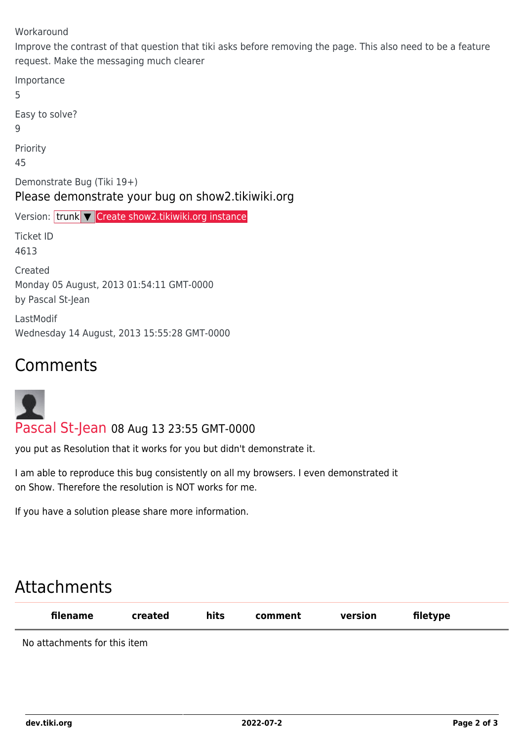Workaround

Improve the contrast of that question that tiki asks before removing the page. This also need to be a feature request. Make the messaging much clearer

Importance 5 Easy to solve? 9 Priority 45 Demonstrate Bug (Tiki 19+) Please demonstrate your bug on show2.tikiwiki.org Version: trunk ▼ [Create show2.tikiwiki.org instance](#page--1-0) Ticket ID 4613 Created Monday 05 August, 2013 01:54:11 GMT-0000 by Pascal St-Jean LastModif Wednesday 14 August, 2013 15:55:28 GMT-0000

### Comments



[Pascal St-Jean](https://dev.tiki.org/user10536) 08 Aug 13 23:55 GMT-0000

you put as Resolution that it works for you but didn't demonstrate it.

I am able to reproduce this bug consistently on all my browsers. I even demonstrated it on Show. Therefore the resolution is NOT works for me.

If you have a solution please share more information.

## Attachments

| filename                     | created | hits | comment | version | filetype |  |
|------------------------------|---------|------|---------|---------|----------|--|
| No attachmonts for this itom |         |      |         |         |          |  |

No attachments for this item